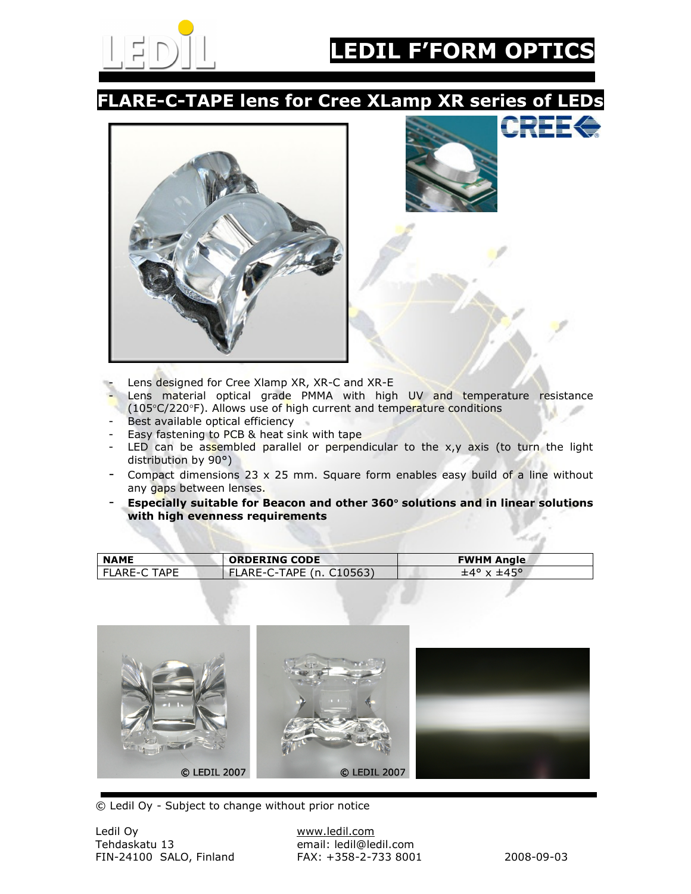

# **F'FORM OPTICS**

#### FLARE-C-TAPE lens for Cree XLamp XR series of LEDs





- Lens designed for Cree Xlamp XR, XR-C and XR-E
- Lens material optical grade PMMA with high UV and temperature resistance (105°C/220°F). Allows use of high current and temperature conditions
- Best available optical efficiency
- Easy fastening to PCB & heat sink with tape
- LED can be assembled parallel or perpendicular to the  $x,y$  axis (to turn the light distribution by 90°)
- Compact dimensions  $23 \times 25$  mm. Square form enables easy build of a line without any gaps between lenses.
- Especially suitable for Beacon and other 360° solutions and in linear solutions with high evenness requirements

| <b>NAME</b>  | <b>ORDERING CODE</b>     | <b>FWHM Angle</b>    |
|--------------|--------------------------|----------------------|
| FLARE-C TAPE | FLARE-C-TAPE (n. C10563) | $\pm$ 4° x $\pm$ 45° |



© Ledil Oy - Subject to change without prior notice

email: ledil@ledil.com<br>FAX: +358-2-733 8001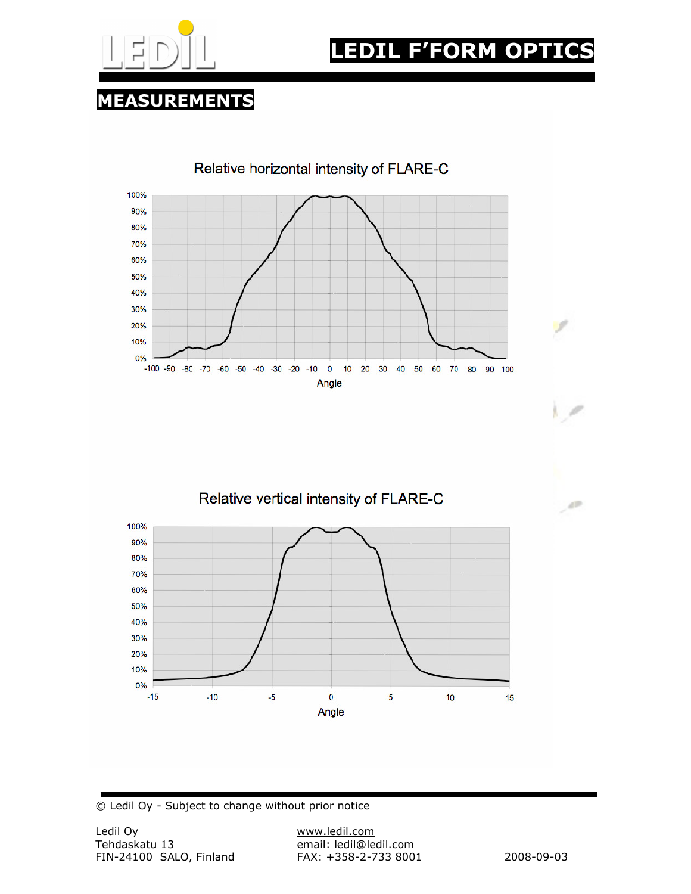

# EDIL F'FORM OPTI

### MEASUREMENTS







© Ledil Oy - Subject to change without prior notice

Ÿ.

صراه

J AP